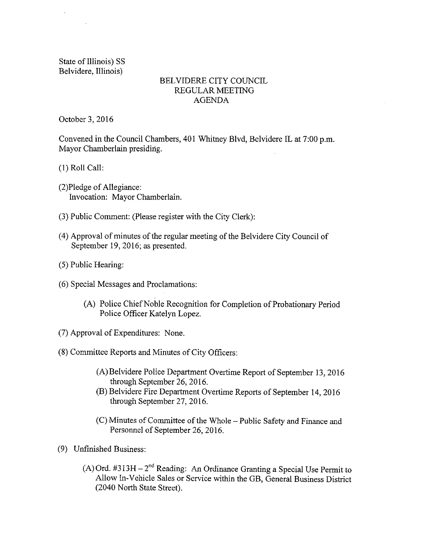State of Illinois) SS Belvidere, Illinois)

 $\mathcal{L}$ 

## BELVIDERE CITY COUNCIL REGULAR MEETING AGENDA

October 3, 2016

Convened in the Council Chambers, 401 Whitney Blvd, Belvidere IL at 7:00 p.m. Mayor Chamberlain presiding.

1) Roll Call:

- 2)Pledge of Allegiance: Invocation: Mayor Chamberlain.
- 3) Public Comment: (Please register with the City Clerk):
- 4) Approval of minutes of the regular meeting of the Belvidere City Council of September 19, 2016; as presented.
- 5) Public Hearing:
- 6) Special Messages and Proclamations:
	- A) Police Chief Noble Recognition for Completion of Probationary Period Police Officer Katelyn Lopez.
- 7) Approval of Expenditures: None.
- 8) Committee Reports and Minutes of City Officers:
	- A) Belvidere Police Department Overtime Report of September 13, 2016 through September 26, 2016.
	- B) Belvidere Fire Department Overtime Reports of September 14, 2016 through September 27, 2016.
	- C) Minutes of Committee of the Whole— Public Safety and Finance and Personnel of September 26, 2016.
- 9) Unfinished Business:
	- (A) Ord.  $\#313H 2^{nd}$  Reading: An Ordinance Granting a Special Use Permit to Allow In-Vehicle Sales or Service within the GB, General Business District 2040 North State Street).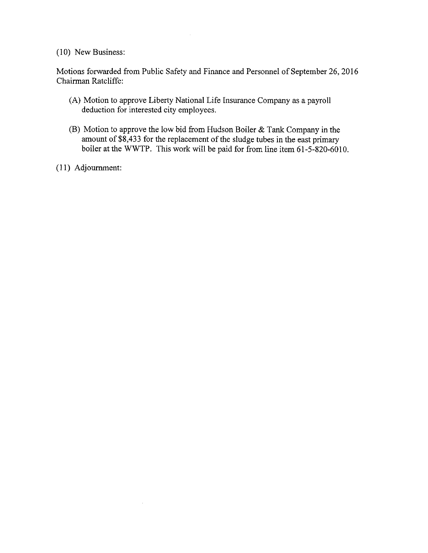## 10) New Business:

Motions forwarded from Public Safety and Finance and Personnel of September 26, 2016 Chairman Ratcliffe:

- A) Motion to approve Liberty National Life Insurance Company as a payroll deduction for interested city employees.
- (B) Motion to approve the low bid from Hudson Boiler  $&$  Tank Company in the amount of  $\frac{88,433}{ }$  for the replacement of the sludge tubes in the east primary boiler at the WWTP. This work will be paid for from line item 61-5-820-6010.
- I1) Adjournment:

 $\alpha$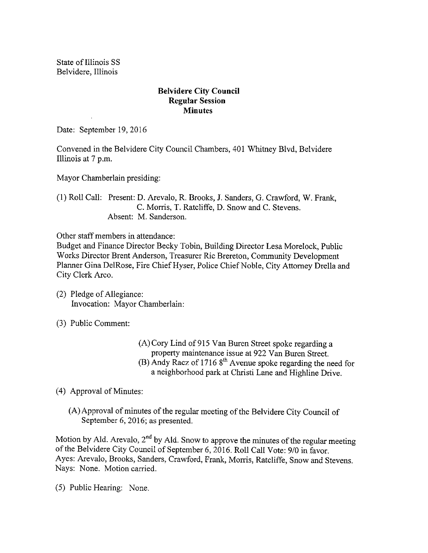State of Illinois SS Belvidere, Illinois

## Belvidere City Council Regular Session Minutes

Date: September 19, 2016

Convened in the Belvidere City Council Chambers, 401 Whitney Blvd, Belvidere Illinois at <sup>7</sup> p.m.

Mayor Chamberlain presiding:

1) Roll Call: Present: D. Arevalo, R. Brooks, J. Sanders, G. Crawford, W. Frank, C. Morris, T. Ratcliffe, D. Snow and C. Stevens. Absent: M. Sanderson.

Other staff members in attendance:

Budget and Finance Director Becky Tobin, Building Director Lesa Morelock, Public Works Director Brent Anderson, Treasurer Ric Brereton, Community Development Planner Gina DelRose, Fire Chief Hyser, Police Chief Noble, City Attorney Drella and City Clerk Arco.

- (2) Pledge of Allegiance: Invocation: Mayor Chamberlain:
- 3) Public Comment:

A) Cory Lind of 915 Van Buren Street spoke regarding a property maintenance issue at 922 Van Buren Street.  $(B)$  Andy Racz of 1716  $8<sup>th</sup>$  Avenue spoke regarding the need for a neighborhood park at Christi Lane and Highline Drive.

4) Approval of Minutes:

A) Approval of minutes of the regular meeting of the Belvidere City Council of September 6, 2016; as presented.

Motion by Ald. Arevalo,  $2^{nd}$  by Ald. Snow to approve the minutes of the regular meeting of the Belvidere City Council of September 6, 2016. Roll Call Vote: 9/0 in favor. Ayes: Arevalo, Brooks, Sanders, Crawford, Frank, Morris, Ratcliffe, Snow and Stevens. Nays: None. Motion carried.

5) Public Hearing: None.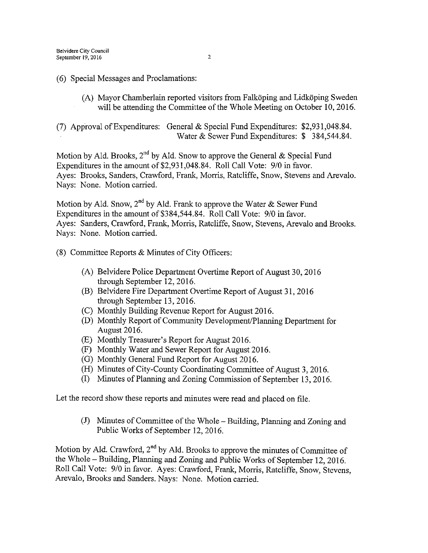#### 6) Special Messages and Proclamations:

- (A) Mayor Chamberlain reported visitors from Falköping and Lidköping Sweden will be attending the Committee of the Whole Meeting on October 10, 2016.
- (7) Approval of Expenditures: General & Special Fund Expenditures: \$2,931,048.84. Water & Sewer Fund Expenditures: \$ 384,544.84.

Motion by Ald. Brooks,  $2^{nd}$  by Ald. Snow to approve the General  $\&$  Special Fund Expenditures in the amount of \$2,931,048.84. Roll Call Vote: 9/0 in favor. Ayes: Brooks, Sanders, Crawford, Frank, Morris, Ratcliffe, Snow, Stevens and Arevalo. Nays: None. Motion carried.

Motion by Ald. Snow,  $2^{nd}$  by Ald. Frank to approve the Water  $\&$  Sewer Fund Expenditures in the amount of \$384,544.84. Roll Call Vote: 9/0 in favor. Ayes: Sanders, Crawford, Frank, Morris, Ratcliffe, Snow, Stevens, Arevalo and Brooks. Nays: None. Motion carried.

- 8) Committee Reports & Minutes of City Officers:
	- A) Belvidere Police Department Overtime Report of August 30, 2016 through September 12, 2016.
	- B) Belvidere Fire Department Overtime Report of August 31, 2016 through September 13, 2016.
	- C) Monthly Building Revenue Report for August 2016.
	- D) Monthly Report of Community Development/ Planning Department for August 2016.
	- E) Monthly Treasurer' <sup>s</sup> Report for August 2016.
	- F) Monthly Water and Sewer Report for August 2016.
	- G) Monthly General Fund Report for August 2016.
	- (H) Minutes of City-County Coordinating Committee of August 3, 2016.
	- I) Minutes ofPlanning and Zoning Commission of September 13, 2016.

Let the record show these reports and minutes were read and placed on file.

J) Minutes of Committee of the Whole—Building, Planning and Zoning and Public Works of September 12, 2016.

Motion by Ald. Crawford,  $2<sup>nd</sup>$  by Ald. Brooks to approve the minutes of Committee of the Whole—Building, Planning and Zoning and Public Works of September 12, 2016. Roll Call Vote: 9/0 in favor. Ayes: Crawford, Frank, Morris, Ratcliffe, Snow, Stevens, Arevalo, Brooks and Sanders. Nays: None. Motion carried.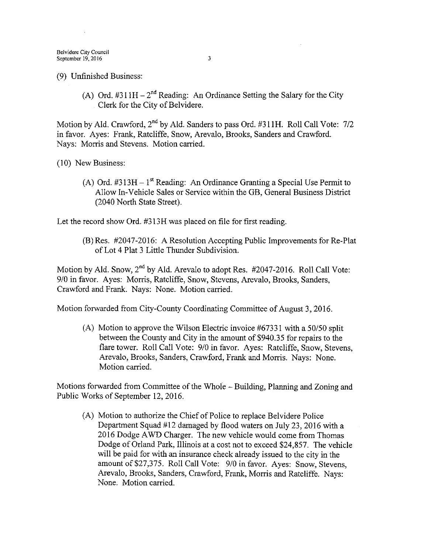#### 9) Unfinished Business:

A) Ord.  $#311H - 2<sup>nd</sup>$  Reading: An Ordinance Setting the Salary for the City Clerk for the City of Belvidere.

Motion by Ald. Crawford,  $2<sup>nd</sup>$  by Ald. Sanders to pass Ord. #311H. Roll Call Vote: 7/2 in favor. Ayes: Frank, Ratcliffe, Snow, Arevalo, Brooks, Sanders and Crawford. Nays: Morris and Stevens. Motion carried.

10) New Business:

A) Ord. #313H - 1<sup>st</sup> Reading: An Ordinance Granting a Special Use Permit to Allow In-Vehicle Sales or Service within the GB, General Business District 2040 North State Street).

Let the record show Ord. #313H was placed on file for first reading.

(B) Res. #2047-2016: A Resolution Accepting Public Improvements for Re-Plat of Lot 4 Plat <sup>3</sup> Little Thunder Subdivision.

Motion by Ald. Snow,  $2<sup>nd</sup>$  by Ald. Arevalo to adopt Res. #2047-2016. Roll Call Vote: 9/0 in favor. Ayes: Morris, Ratcliffe, Snow, Stevens, Arevalo, Brooks, Sanders, Crawford and Frank. Nays: None. Motion carried.

Motion forwarded from City-County Coordinating Committee of August 3, 2016.

(A) Motion to approve the Wilson Electric invoice  $#67331$  with a 50/50 split between the County and City in the amount of \$940.35 for repairs to the flare tower. Roll Call Vote: 9/0 in favor. Ayes: Ratcliffe, Snow, Stevens, Arevalo, Brooks, Sanders, Crawford, Frank and Morris. Nays: None. Motion carried.

Motions forwarded from Committee of the Whole— Building, Planning and Zoning and Public Works of September 12, 2016.

A) Motion to authorize the Chief of Police to replace Belvidere Police Department Squad #12 damaged by flood waters on July 23, 2016 with a 2016 Dodge AWD Charger. The new vehicle would come from Thomas Dodge of Orland Park, Illinois at <sup>a</sup> cost not to exceed \$24, 857. The vehicle will be paid for with an insurance check already issued to the city in the amount of \$27,375. Roll Call Vote: 9/0 in favor. Ayes: Snow, Stevens, Arevalo, Brooks, Sanders, Crawford, Frank, Morris and Ratcliffe. Nays: None. Motion carried.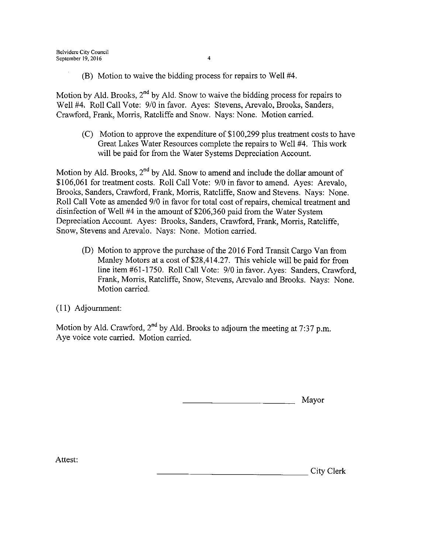B) Motion to waive the bidding process for repairs to Well #4.

Motion by Ald. Brooks, 2<sup>nd</sup> by Ald. Snow to waive the bidding process for repairs to Well #4. Roll Call Vote: 9/0 in favor. Ayes: Stevens, Arevalo, Brooks, Sanders, Crawford, Frank, Morris, Ratcliffe and Snow. Nays: None. Motion carried.

C) Motion to approve the expenditure of\$ 100,299 plus treatment costs to have Great Lakes Water Resources complete the repairs to Well #4. This work will be paid for from the Water Systems Depreciation Account.

Motion by Ald. Brooks, 2<sup>nd</sup> by Ald. Snow to amend and include the dollar amount of \$106,061 for treatment costs. Roll Call Vote: 9/0 in favor to amend. Ayes: Arevalo, Brooks, Sanders, Crawford, Frank, Morris, Ratcliffe, Snow and Stevens. Nays: None. Roll Call Vote as amended 9/0 in favor for total cost of repairs, chemical treatment and disinfection of Well  $#4$  in the amount of \$206,360 paid from the Water System Depreciation Account. Ayes: Brooks, Sanders, Crawford, Frank, Morris, Ratcliffe, Snow, Stevens and Arevalo. Nays: None. Motion carried.

D) Motion to approve the purchase of the 2016 Ford Transit Cargo Van from Manley Motors at a cost of \$28,414.27. This vehicle will be paid for from line item #61-1750. Roll Call Vote: 9/0 in favor. Ayes: Sanders, Crawford, Frank, Morris, Ratcliffe, Snow, Stevens, Arevalo and Brooks. Nays: None. Motion carried.

11) Adjournment:

Motion by Ald. Crawford,  $2<sup>nd</sup>$  by Ald. Brooks to adjourn the meeting at 7:37 p.m. Aye voice vote carried. Motion carried.

Mayor

Attest:

City Clerk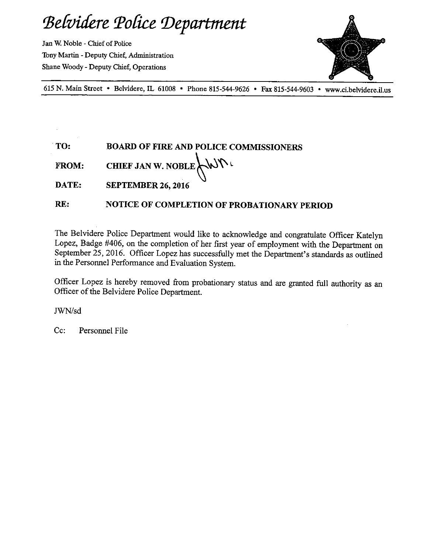# Belvidere Police Department

Jan W.Noble- Chief of Police Tony Martin - Deputy Chief, Administration Shane Woody- Deputy Chief, Operations



<sup>615</sup> N. Main Street • Belvidere, IL 61008 • Phone 815-544- 9626 • Fax 815-544- <sup>9603</sup> www.ci.belvidere.il.us

# TO: BOARD OF FIRE AND POLICE COMMISSIONERS

FROM: CHIEF JAN W. NOBLE WWW

DATE: SEPTEMBER 26, 2016

# RE: NOTICE OF COMPLETION OF PROBATIONARY PERIOD

The Belvidere Police Department would like to acknowledge and congratulate Officer Katelyn Lopez, Badge #406, on the completion of her first year of employment with the Department on September 25, 2016. Officer Lopez has successfully met the Department's standards as outlined in the Personnel Performance and Evaluation System.

Officer Lopez is hereby removed from probationary status and are granted full authority as an Officer of the Belvidere Police Department.

JWN/sd

Cc: Personnel File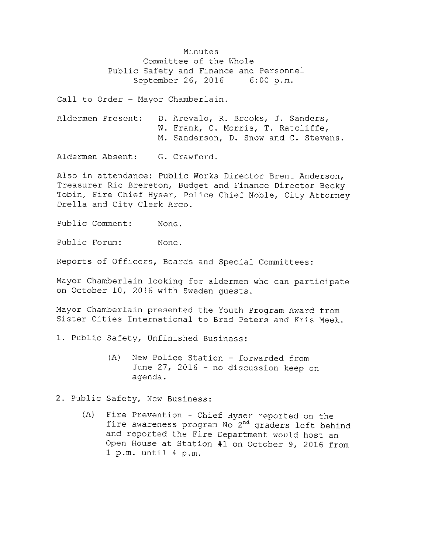Minutes Committee of the Whole Public Safety and Finance and Personnel<br>September 26, 2016 6:00 p.m. September 26, 2016

Call to Order - Mayor Chamberlain.

|  | Aldermen Present: | D. Arevalo, R. Brooks, J. Sanders,    |  |  |  |
|--|-------------------|---------------------------------------|--|--|--|
|  |                   | W. Frank, C. Morris, T. Ratcliffe,    |  |  |  |
|  |                   | M. Sanderson, D. Snow and C. Stevens. |  |  |  |
|  |                   |                                       |  |  |  |

Aldermen Absent: G. Crawford.

Also in attendance: Public Works Director Brent Anderson, Treasurer Ric Brereton, Budget and Finance Director Becky Tobin, Fire Chief Hyser, Police Chief Noble, City Attorney Drella and City Clerk Arco.

Public Comment: None.

Public Forum: None.

Reports of Officers, Boards and Special Committees :

Mayor Chamberlain looking for aldermen who can participate on October 10, 2016 with Sweden guests .

Mayor Chamberlain presented the Youth Program Award from Sister Cities International to Brad Peters and Kris Meek.

- 1. Public Safety, Unfinished Business:
	- A) New Police Station forwarded from June 27, 2016 - no discussion keep on agenda.

2. Public Safety, New Business:

A) Fire Prevention - Chief Hyser reported on the fire awareness program No<sup>2nd</sup> graders left behind and reported the Fire Department would host an Open House at Station #<sup>1</sup> on October 9, 2016 from 1 p.m. until 4 p.m.